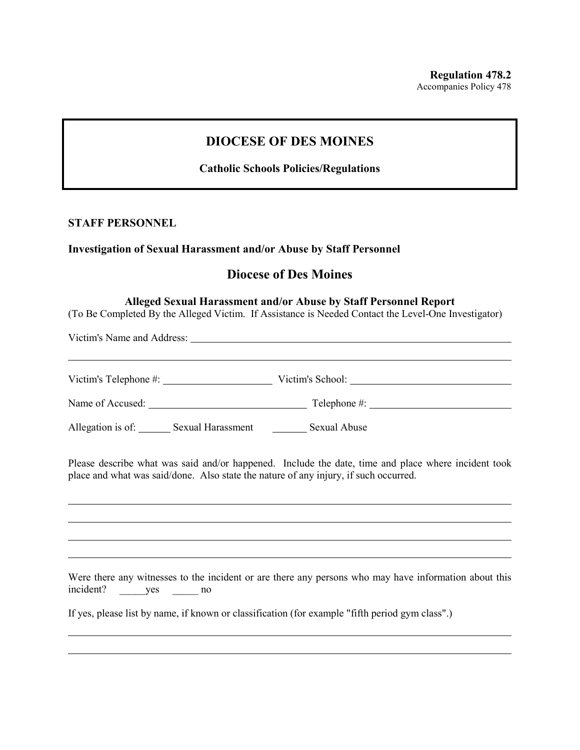# **DIOCESE OF DES MOINES**

### **Catholic Schools Policies/Regulations**

### **STAFF PERSONNEL**

#### **Investigation of Sexual Harassment and/or Abuse by Staff Personnel**

# **Diocese of Des Moines**

#### **Alleged Sexual Harassment and/or Abuse by Staff Personnel Report**

(To Be Completed By the Alleged Victim. If Assistance is Needed Contact the Level-One Investigator)

Victim's Name and Address:

Victim's Telephone #: Victim's School: Victim's School:

Name of Accused: Telephone #:

Allegation is of: Sexual Harassment Sexual Abuse

Please describe what was said and/or happened. Include the date, time and place where incident took place and what was said/done. Also state the nature of any injury, if such occurred.

Were there any witnesses to the incident or are there any persons who may have information about this incident? \_\_\_\_\_yes \_\_\_\_\_ no

If yes, please list by name, if known or classification (for example "fifth period gym class".)